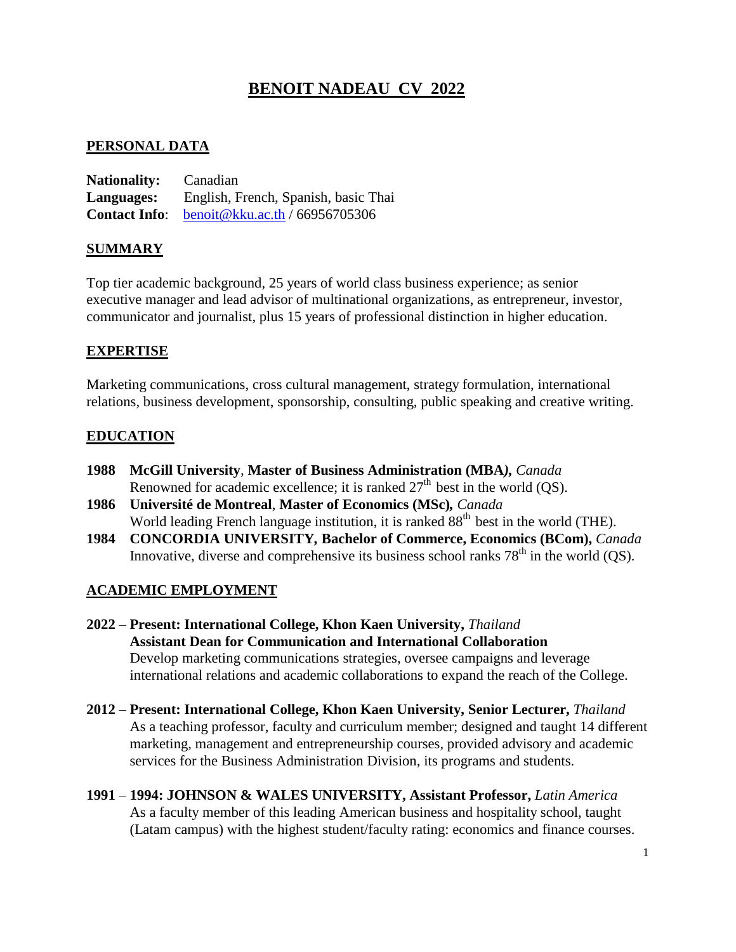# **BENOIT NADEAU CV 2022**

#### **PERSONAL DATA**

**Nationality:** Canadian **Languages:** English, French, Spanish, basic Thai **Contact Info**: [benoit@kku.ac.th](mailto:benoit@kku.ac.th) / 66956705306

#### **SUMMARY**

Top tier academic background, 25 years of world class business experience; as senior executive manager and lead advisor of multinational organizations, as entrepreneur, investor, communicator and journalist, plus 15 years of professional distinction in higher education.

#### **EXPERTISE**

Marketing communications, cross cultural management, strategy formulation, international relations, business development, sponsorship, consulting, public speaking and creative writing.

# **EDUCATION**

- **1988 McGill University***,* **Master of Business Administration (MBA***), Canada* Renowned for academic excellence; it is ranked  $27<sup>th</sup>$  best in the world (QS).
- **1986 Université de Montreal**, **Master of Economics (MSc)***, Canada* World leading French language institution, it is ranked  $88<sup>th</sup>$  best in the world (THE).
- **1984 CONCORDIA UNIVERSITY***,* **Bachelor of Commerce, Economics (BCom),** *Canada* Innovative, diverse and comprehensive its business school ranks  $78<sup>th</sup>$  in the world (QS).

# **ACADEMIC EMPLOYMENT**

- **2022 Present: International College, Khon Kaen University,** *Thailand* **Assistant Dean for Communication and International Collaboration** Develop marketing communications strategies, oversee campaigns and leverage international relations and academic collaborations to expand the reach of the College.
- **2012 Present: International College, Khon Kaen University, Senior Lecturer,** *Thailand* As a teaching professor, faculty and curriculum member; designed and taught 14 different marketing, management and entrepreneurship courses, provided advisory and academic services for the Business Administration Division, its programs and students.
- **1991 1994: JOHNSON & WALES UNIVERSITY, Assistant Professor,** *Latin America* As a faculty member of this leading American business and hospitality school, taught (Latam campus) with the highest student/faculty rating: economics and finance courses.